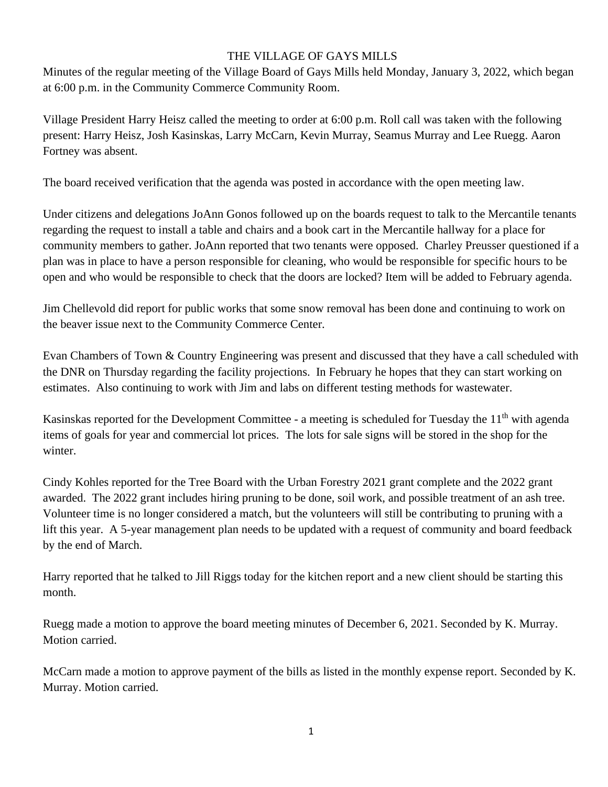## THE VILLAGE OF GAYS MILLS

Minutes of the regular meeting of the Village Board of Gays Mills held Monday, January 3, 2022, which began at 6:00 p.m. in the Community Commerce Community Room.

Village President Harry Heisz called the meeting to order at 6:00 p.m. Roll call was taken with the following present: Harry Heisz, Josh Kasinskas, Larry McCarn, Kevin Murray, Seamus Murray and Lee Ruegg. Aaron Fortney was absent.

The board received verification that the agenda was posted in accordance with the open meeting law.

Under citizens and delegations JoAnn Gonos followed up on the boards request to talk to the Mercantile tenants regarding the request to install a table and chairs and a book cart in the Mercantile hallway for a place for community members to gather. JoAnn reported that two tenants were opposed. Charley Preusser questioned if a plan was in place to have a person responsible for cleaning, who would be responsible for specific hours to be open and who would be responsible to check that the doors are locked? Item will be added to February agenda.

Jim Chellevold did report for public works that some snow removal has been done and continuing to work on the beaver issue next to the Community Commerce Center.

Evan Chambers of Town & Country Engineering was present and discussed that they have a call scheduled with the DNR on Thursday regarding the facility projections. In February he hopes that they can start working on estimates. Also continuing to work with Jim and labs on different testing methods for wastewater.

Kasinskas reported for the Development Committee - a meeting is scheduled for Tuesday the 11<sup>th</sup> with agenda items of goals for year and commercial lot prices. The lots for sale signs will be stored in the shop for the winter.

Cindy Kohles reported for the Tree Board with the Urban Forestry 2021 grant complete and the 2022 grant awarded. The 2022 grant includes hiring pruning to be done, soil work, and possible treatment of an ash tree. Volunteer time is no longer considered a match, but the volunteers will still be contributing to pruning with a lift this year. A 5-year management plan needs to be updated with a request of community and board feedback by the end of March.

Harry reported that he talked to Jill Riggs today for the kitchen report and a new client should be starting this month.

Ruegg made a motion to approve the board meeting minutes of December 6, 2021. Seconded by K. Murray. Motion carried.

McCarn made a motion to approve payment of the bills as listed in the monthly expense report. Seconded by K. Murray. Motion carried.